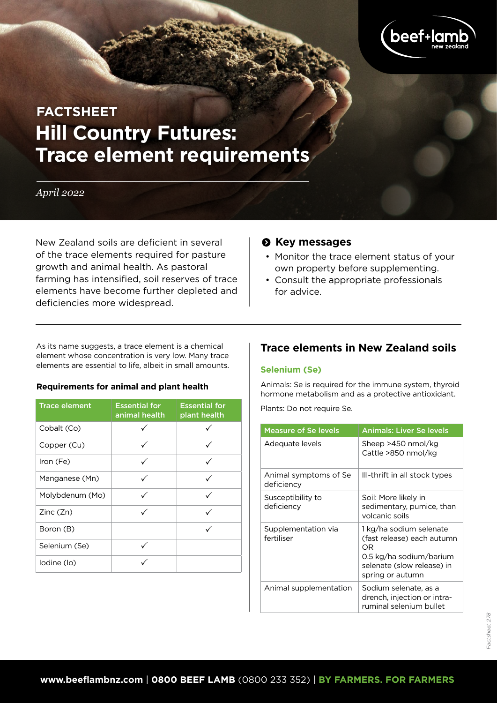

# **Hill Country Futures: Trace element requirements FACTSHEET**

# *April 2022*

New Zealand soils are deficient in several of the trace elements required for pasture growth and animal health. As pastoral farming has intensified, soil reserves of trace elements have become further depleted and deficiencies more widespread.

# $\odot$  Key messages

- Monitor the trace element status of your own property before supplementing.
- Consult the appropriate professionals for advice.

As its name suggests, a trace element is a chemical element whose concentration is very low. Many trace elements are essential to life, albeit in small amounts.

#### **Requirements for animal and plant health**

| <b>Trace element</b> | <b>Essential for</b><br>animal health | <b>Essential for</b><br>plant health |
|----------------------|---------------------------------------|--------------------------------------|
| Cobalt (Co)          |                                       |                                      |
| Copper (Cu)          |                                       |                                      |
| Iron (Fe)            |                                       |                                      |
| Manganese (Mn)       |                                       |                                      |
| Molybdenum (Mo)      |                                       |                                      |
| Zinc(Zn)             |                                       |                                      |
| Boron (B)            |                                       |                                      |
| Selenium (Se)        |                                       |                                      |
| lodine (lo)          |                                       |                                      |

# **Trace elements in New Zealand soils**

#### **Selenium (Se)**

Animals: Se is required for the immune system, thyroid hormone metabolism and as a protective antioxidant.

Plants: Do not require Se.

| <b>Measure of Se levels</b>         | <b>Animals: Liver Se levels</b>                                                                                                          |
|-------------------------------------|------------------------------------------------------------------------------------------------------------------------------------------|
| Adequate levels                     | Sheep >450 nmol/kg<br>Cattle >850 nmol/kg                                                                                                |
| Animal symptoms of Se<br>deficiency | Ill-thrift in all stock types                                                                                                            |
| Susceptibility to<br>deficiency     | Soil: More likely in<br>sedimentary, pumice, than<br>volcanic soils                                                                      |
| Supplementation via<br>fertiliser   | 1 kg/ha sodium selenate<br>(fast release) each autumn<br>ΩR<br>0.5 kg/ha sodium/barium<br>selenate (slow release) in<br>spring or autumn |
| Animal supplementation              | Sodium selenate, as a<br>drench, injection or intra-<br>ruminal selenium bullet                                                          |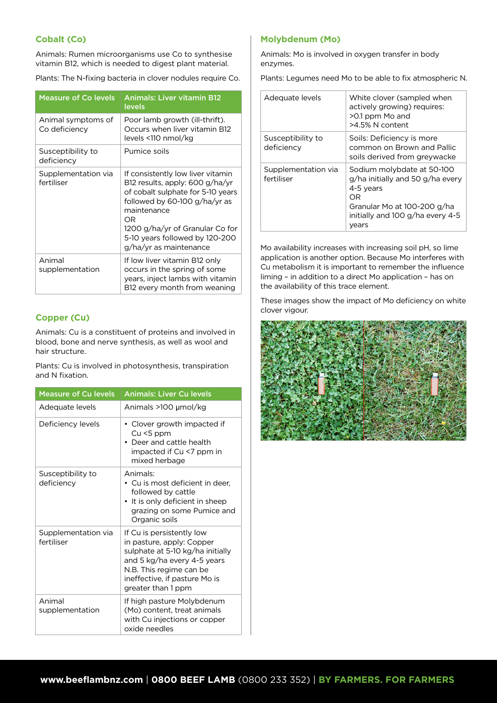#### **Cobalt (Co)**

Animals: Rumen microorganisms use Co to synthesise vitamin B12, which is needed to digest plant material.

Plants: The N-fixing bacteria in clover nodules require Co.

| <b>Measure of Co levels</b>         | <b>Animals: Liver vitamin B12</b><br>levels                                                                                                                                                                                                                    |
|-------------------------------------|----------------------------------------------------------------------------------------------------------------------------------------------------------------------------------------------------------------------------------------------------------------|
| Animal symptoms of<br>Co deficiency | Poor lamb growth (ill-thrift).<br>Occurs when liver vitamin B12<br>levels <110 nmol/kg                                                                                                                                                                         |
| Susceptibility to<br>deficiency     | Pumice soils                                                                                                                                                                                                                                                   |
| Supplementation via<br>fertiliser   | If consistently low liver vitamin<br>B12 results, apply: 600 g/ha/yr<br>of cobalt sulphate for 5-10 years<br>followed by 60-100 g/ha/yr as<br>maintenance<br>OR<br>1200 g/ha/yr of Granular Co for<br>5-10 years followed by 120-200<br>g/ha/yr as maintenance |
| Animal<br>supplementation           | If low liver vitamin B12 only<br>occurs in the spring of some<br>years, inject lambs with vitamin<br>B12 every month from weaning                                                                                                                              |

#### **Copper (Cu)**

Animals: Cu is a constituent of proteins and involved in blood, bone and nerve synthesis, as well as wool and hair structure.

Plants: Cu is involved in photosynthesis, transpiration and N fixation.

| <b>Measure of Cu levels</b>       | <b>Animals: Liver Cu levels</b>                                                                                                                                                                             |
|-----------------------------------|-------------------------------------------------------------------------------------------------------------------------------------------------------------------------------------------------------------|
| Adequate levels                   | Animals >100 µmol/kg                                                                                                                                                                                        |
| Deficiency levels                 | • Clover growth impacted if<br>$Cu < 5$ ppm<br>• Deer and cattle health<br>impacted if Cu <7 ppm in<br>mixed herbage                                                                                        |
| Susceptibility to<br>deficiency   | Animals:<br>$\bullet\,$ Cu is most deficient in deer.<br>followed by cattle<br>• It is only deficient in sheep<br>grazing on some Pumice and<br>Organic soils                                               |
| Supplementation via<br>fertiliser | If Cu is persistently low<br>in pasture, apply: Copper<br>sulphate at 5-10 kg/ha initially<br>and 5 kg/ha every 4-5 years<br>N.B. This regime can be<br>ineffective, if pasture Mo is<br>greater than 1 ppm |
| Animal<br>supplementation         | If high pasture Molybdenum<br>(Mo) content, treat animals<br>with Cu injections or copper<br>oxide needles                                                                                                  |

#### **Molybdenum (Mo)**

Animals: Mo is involved in oxygen transfer in body enzymes.

Plants: Legumes need Mo to be able to fix atmospheric N.

| Adequate levels                   | White clover (sampled when<br>actively growing) requires:<br>>0.1 ppm Mo and<br>>4.5% N content                                                               |
|-----------------------------------|---------------------------------------------------------------------------------------------------------------------------------------------------------------|
| Susceptibility to<br>deficiency   | Soils: Deficiency is more<br>common on Brown and Pallic<br>soils derived from greywacke                                                                       |
| Supplementation via<br>fertiliser | Sodium molybdate at 50-100<br>g/ha initially and 50 g/ha every<br>4-5 years<br>OR<br>Granular Mo at 100-200 g/ha<br>initially and 100 g/ha every 4-5<br>vears |

Mo availability increases with increasing soil pH, so lime application is another option. Because Mo interferes with Cu metabolism it is important to remember the influence liming – in addition to a direct Mo application – has on the availability of this trace element.

These images show the impact of Mo deficiency on white clover vigour.



Animals: I is essential for the correct functioning of thyroid metabolism.

Animal supplementation Direct oral dosing at 4 and 8 weeks prior to birth

Measure of I levels Animals: Blood serum I levels Adequate levels of I Pasture = >0.25ppm

Plants: B is essential for flowering and pollination.

**Iodine (I)**

**Boron (B)**

Plants: Do not require I.

Animal symptoms of I deficiency Supplementation via fertiliser

Animals: Do not require B.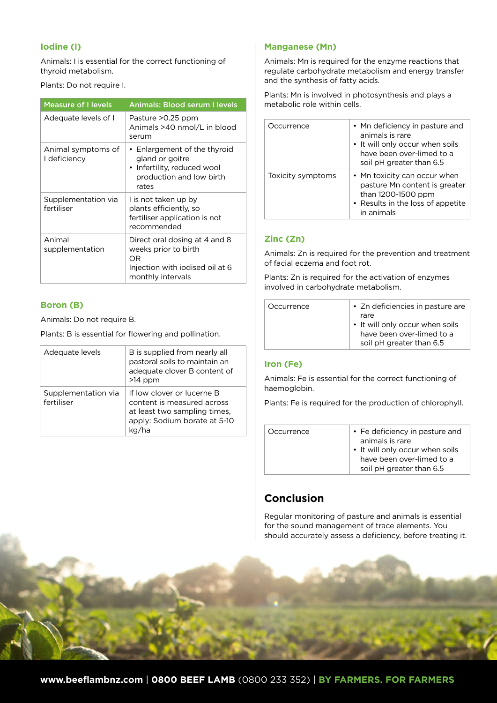#### **Iodine (I)**

Animals: I is essential for the correct functioning of thyroid metabolism.

#### Plants: Do not require I.

| <b>Measure of I levels</b>         | <b>Animals: Blood serum I levels</b>                                                                                 |
|------------------------------------|----------------------------------------------------------------------------------------------------------------------|
| Adequate levels of I               | Pasture >0.25 ppm<br>Animals >40 nmol/L in blood<br>serum                                                            |
| Animal symptoms of<br>I deficiency | • Enlargement of the thyroid<br>gland or goitre<br>• Infertility, reduced wool<br>production and low birth<br>rates  |
| Supplementation via<br>fertiliser  | I is not taken up by<br>plants efficiently, so<br>fertiliser application is not<br>recommended                       |
| Animal<br>supplementation          | Direct oral dosing at 4 and 8<br>weeks prior to birth<br>OR.<br>Injection with iodised oil at 6<br>monthly intervals |

#### **Boron (B)**

Animals: Do not require B.

Plants: B is essential for flowering and pollination.

| Adequate levels                   | B is supplied from nearly all<br>pastoral soils to maintain an<br>adequate clover B content of<br>$>14$ ppm              |
|-----------------------------------|--------------------------------------------------------------------------------------------------------------------------|
| Supplementation via<br>fertiliser | If low clover or lucerne B<br>content is measured across<br>at least two sampling times,<br>apply: Sodium borate at 5-10 |

#### **Manganese (Mn)**

Animals: Mn is required for the enzyme reactions that regulate carbohydrate metabolism and energy transfer and the synthesis of fatty acids.

Plants: Mn is involved in photosynthesis and plays a metabolic role within cells.

| Occurrence        | • Mn deficiency in pasture and<br>animals is rare<br>• It will only occur when soils<br>have been over-limed to a<br>soil pH greater than 6.5 |
|-------------------|-----------------------------------------------------------------------------------------------------------------------------------------------|
| Toxicity symptoms | • Mn toxicity can occur when<br>pasture Mn content is greater<br>than 1200-1500 ppm<br>• Results in the loss of appetite<br>in animals        |

## **Zinc (Zn)**

Animals: Zn is required for the prevention and treatment of facial eczema and foot rot.

Plants: Zn is required for the activation of enzymes involved in carbohydrate metabolism.

|  | Occurrence | • Zn deficiencies in pasture are<br>rare<br>• It will only occur when soils<br>have been over-limed to a<br>soil pH greater than 6.5 |
|--|------------|--------------------------------------------------------------------------------------------------------------------------------------|
|--|------------|--------------------------------------------------------------------------------------------------------------------------------------|

## **Iron (Fe)**

Animals: Fe is essential for the correct functioning of haemoglobin.

Plants: Fe is required for the production of chlorophyll.

| Occurrence | • Fe deficiency in pasture and<br>animals is rare<br>• It will only occur when soils<br>have been over-limed to a<br>soil pH greater than 6.5 |
|------------|-----------------------------------------------------------------------------------------------------------------------------------------------|
|------------|-----------------------------------------------------------------------------------------------------------------------------------------------|

# **Conclusion**

Regular monitoring of pasture and animals is essential for the sound management of trace elements. You should accurately assess a deficiency, before treating it.